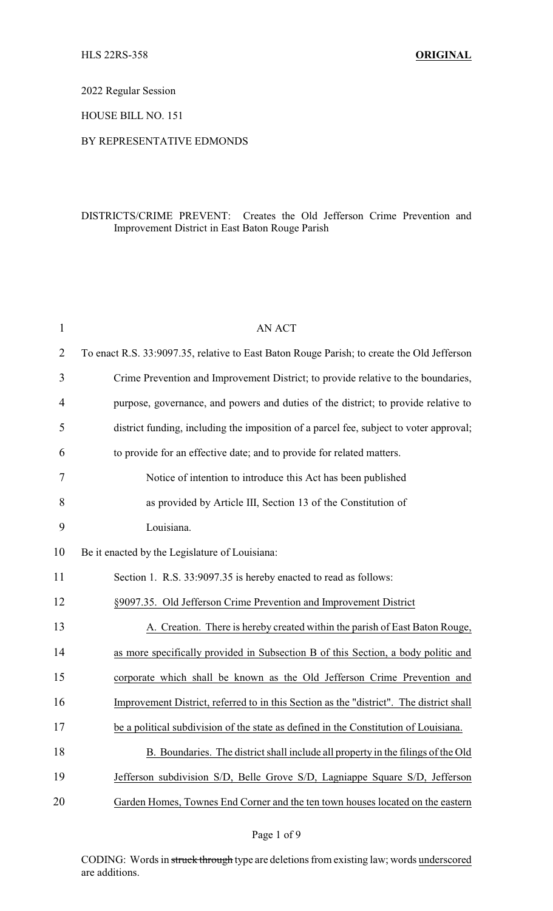2022 Regular Session

HOUSE BILL NO. 151

## BY REPRESENTATIVE EDMONDS

## DISTRICTS/CRIME PREVENT: Creates the Old Jefferson Crime Prevention and Improvement District in East Baton Rouge Parish

| $\mathbf{1}$ | <b>AN ACT</b>                                                                              |  |
|--------------|--------------------------------------------------------------------------------------------|--|
| 2            | To enact R.S. 33:9097.35, relative to East Baton Rouge Parish; to create the Old Jefferson |  |
| 3            | Crime Prevention and Improvement District; to provide relative to the boundaries,          |  |
| 4            | purpose, governance, and powers and duties of the district; to provide relative to         |  |
| 5            | district funding, including the imposition of a parcel fee, subject to voter approval;     |  |
| 6            | to provide for an effective date; and to provide for related matters.                      |  |
| 7            | Notice of intention to introduce this Act has been published                               |  |
| 8            | as provided by Article III, Section 13 of the Constitution of                              |  |
| 9            | Louisiana.                                                                                 |  |
| 10           | Be it enacted by the Legislature of Louisiana:                                             |  |
| 11           | Section 1. R.S. 33:9097.35 is hereby enacted to read as follows:                           |  |
| 12           | §9097.35. Old Jefferson Crime Prevention and Improvement District                          |  |
| 13           | A. Creation. There is hereby created within the parish of East Baton Rouge,                |  |
| 14           | as more specifically provided in Subsection B of this Section, a body politic and          |  |
| 15           | corporate which shall be known as the Old Jefferson Crime Prevention and                   |  |
| 16           | Improvement District, referred to in this Section as the "district". The district shall    |  |
| 17           | be a political subdivision of the state as defined in the Constitution of Louisiana.       |  |
| 18           | B. Boundaries. The district shall include all property in the filings of the Old           |  |
| 19           | Jefferson subdivision S/D, Belle Grove S/D, Lagniappe Square S/D, Jefferson                |  |
| 20           | Garden Homes, Townes End Corner and the ten town houses located on the eastern             |  |

Page 1 of 9

CODING: Words in struck through type are deletions from existing law; words underscored are additions.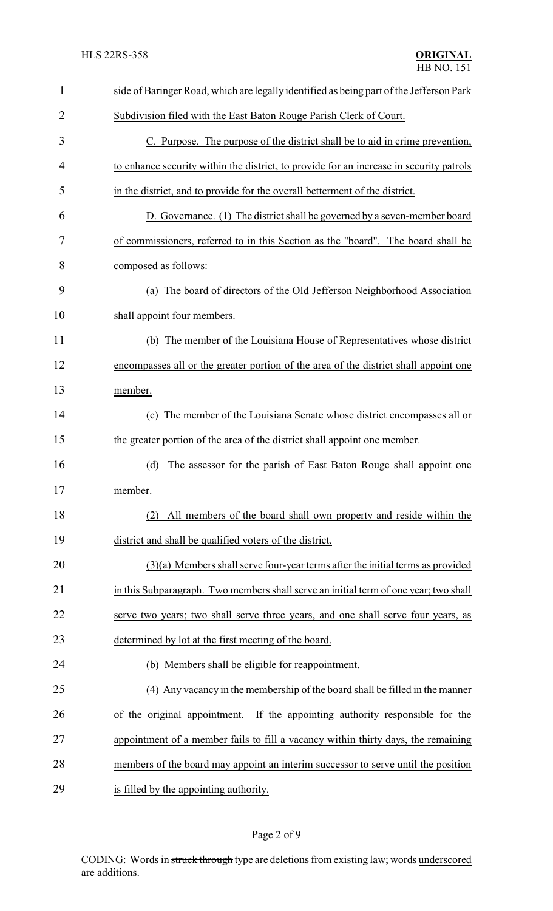| $\mathbf{1}$ | side of Baringer Road, which are legally identified as being part of the Jefferson Park |
|--------------|-----------------------------------------------------------------------------------------|
| 2            | Subdivision filed with the East Baton Rouge Parish Clerk of Court.                      |
| 3            | C. Purpose. The purpose of the district shall be to aid in crime prevention,            |
| 4            | to enhance security within the district, to provide for an increase in security patrols |
| 5            | in the district, and to provide for the overall betterment of the district.             |
| 6            | D. Governance. (1) The district shall be governed by a seven-member board               |
| 7            | of commissioners, referred to in this Section as the "board". The board shall be        |
| 8            | composed as follows:                                                                    |
| 9            | The board of directors of the Old Jefferson Neighborhood Association<br>(a)             |
| 10           | shall appoint four members.                                                             |
| 11           | (b) The member of the Louisiana House of Representatives whose district                 |
| 12           | encompasses all or the greater portion of the area of the district shall appoint one    |
| 13           | member.                                                                                 |
| 14           | The member of the Louisiana Senate whose district encompasses all or<br>(c)             |
| 15           | the greater portion of the area of the district shall appoint one member.               |
| 16           | (d)<br>The assessor for the parish of East Baton Rouge shall appoint one                |
| 17           | member.                                                                                 |
| 18           | All members of the board shall own property and reside within the<br>(2)                |
| 19           | district and shall be qualified voters of the district.                                 |
| 20           | $(3)(a)$ Members shall serve four-year terms after the initial terms as provided        |
| 21           | in this Subparagraph. Two members shall serve an initial term of one year; two shall    |
| 22           | serve two years; two shall serve three years, and one shall serve four years, as        |
| 23           | determined by lot at the first meeting of the board.                                    |
| 24           | (b) Members shall be eligible for reappointment.                                        |
| 25           | (4) Any vacancy in the membership of the board shall be filled in the manner            |
| 26           | of the original appointment. If the appointing authority responsible for the            |
| 27           | appointment of a member fails to fill a vacancy within thirty days, the remaining       |
| 28           | members of the board may appoint an interim successor to serve until the position       |
| 29           | is filled by the appointing authority.                                                  |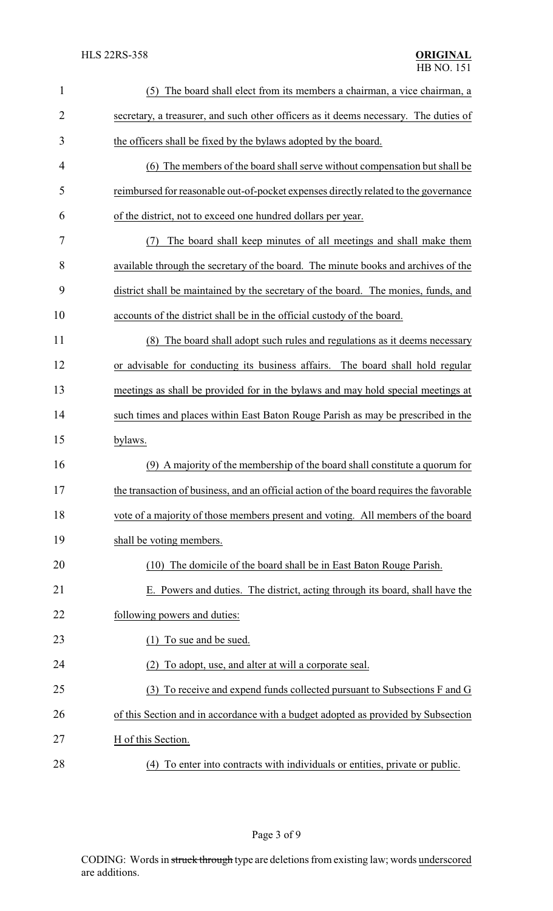| $\mathbf{1}$ | The board shall elect from its members a chairman, a vice chairman, a<br>(5)            |
|--------------|-----------------------------------------------------------------------------------------|
| 2            | secretary, a treasurer, and such other officers as it deems necessary. The duties of    |
| 3            | the officers shall be fixed by the bylaws adopted by the board.                         |
| 4            | (6) The members of the board shall serve without compensation but shall be              |
| 5            | reimbursed for reasonable out-of-pocket expenses directly related to the governance     |
| 6            | of the district, not to exceed one hundred dollars per year.                            |
| 7            | The board shall keep minutes of all meetings and shall make them<br>(7)                 |
| 8            | available through the secretary of the board. The minute books and archives of the      |
| 9            | district shall be maintained by the secretary of the board. The monies, funds, and      |
| 10           | accounts of the district shall be in the official custody of the board.                 |
| 11           | The board shall adopt such rules and regulations as it deems necessary<br>(8)           |
| 12           | or advisable for conducting its business affairs. The board shall hold regular          |
| 13           | meetings as shall be provided for in the bylaws and may hold special meetings at        |
| 14           | such times and places within East Baton Rouge Parish as may be prescribed in the        |
| 15           | bylaws.                                                                                 |
| 16           | (9) A majority of the membership of the board shall constitute a quorum for             |
| 17           | the transaction of business, and an official action of the board requires the favorable |
| 18           | vote of a majority of those members present and voting. All members of the board        |
| 19           | shall be voting members.                                                                |
| 20           | The domicile of the board shall be in East Baton Rouge Parish.<br>(10)                  |
| 21           | E. Powers and duties. The district, acting through its board, shall have the            |
| 22           | following powers and duties:                                                            |
| 23           | (1) To sue and be sued.                                                                 |
| 24           | To adopt, use, and alter at will a corporate seal.<br>(2)                               |
| 25           | To receive and expend funds collected pursuant to Subsections F and G<br>(3)            |
| 26           | of this Section and in accordance with a budget adopted as provided by Subsection       |
| 27           | H of this Section.                                                                      |
| 28           | (4) To enter into contracts with individuals or entities, private or public.            |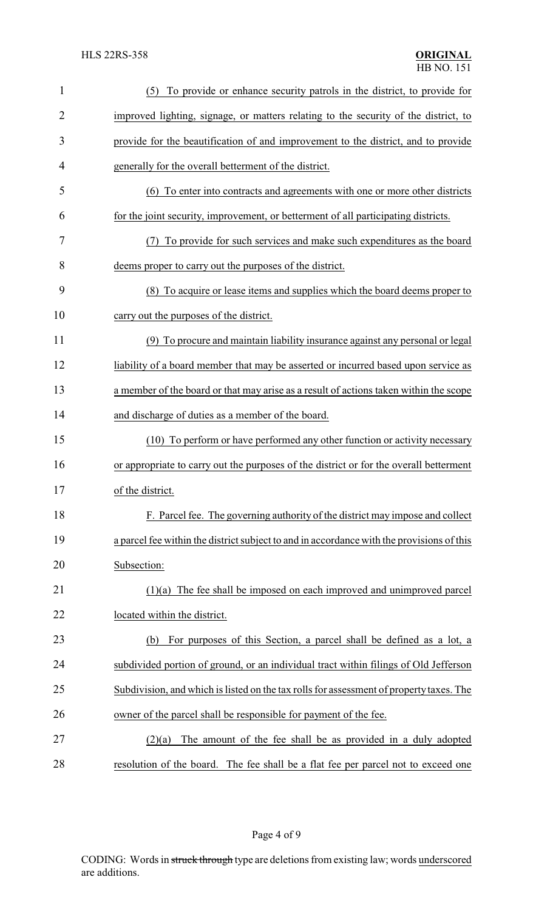| $\mathbf{1}$   | (5) To provide or enhance security patrols in the district, to provide for                |
|----------------|-------------------------------------------------------------------------------------------|
| $\overline{2}$ | improved lighting, signage, or matters relating to the security of the district, to       |
| 3              | provide for the beautification of and improvement to the district, and to provide         |
| 4              | generally for the overall betterment of the district.                                     |
| 5              | (6) To enter into contracts and agreements with one or more other districts               |
| 6              | for the joint security, improvement, or betterment of all participating districts.        |
| 7              | To provide for such services and make such expenditures as the board                      |
| 8              | deems proper to carry out the purposes of the district.                                   |
| 9              | (8) To acquire or lease items and supplies which the board deems proper to                |
| 10             | carry out the purposes of the district.                                                   |
| 11             | (9) To procure and maintain liability insurance against any personal or legal             |
| 12             | liability of a board member that may be asserted or incurred based upon service as        |
| 13             | a member of the board or that may arise as a result of actions taken within the scope     |
| 14             | and discharge of duties as a member of the board.                                         |
| 15             | (10) To perform or have performed any other function or activity necessary                |
| 16             | or appropriate to carry out the purposes of the district or for the overall betterment    |
| 17             | of the district.                                                                          |
| 18             | F. Parcel fee. The governing authority of the district may impose and collect             |
| 19             | a parcel fee within the district subject to and in accordance with the provisions of this |
| 20             | Subsection:                                                                               |
| 21             | $(1)(a)$ The fee shall be imposed on each improved and unimproved parcel                  |
| 22             | located within the district.                                                              |
| 23             | For purposes of this Section, a parcel shall be defined as a lot, a<br>(b)                |
| 24             | subdivided portion of ground, or an individual tract within filings of Old Jefferson      |
| 25             | Subdivision, and which is listed on the tax rolls for assessment of property taxes. The   |
| 26             | owner of the parcel shall be responsible for payment of the fee.                          |
| 27             | The amount of the fee shall be as provided in a duly adopted<br>(2)(a)                    |
| 28             | resolution of the board. The fee shall be a flat fee per parcel not to exceed one         |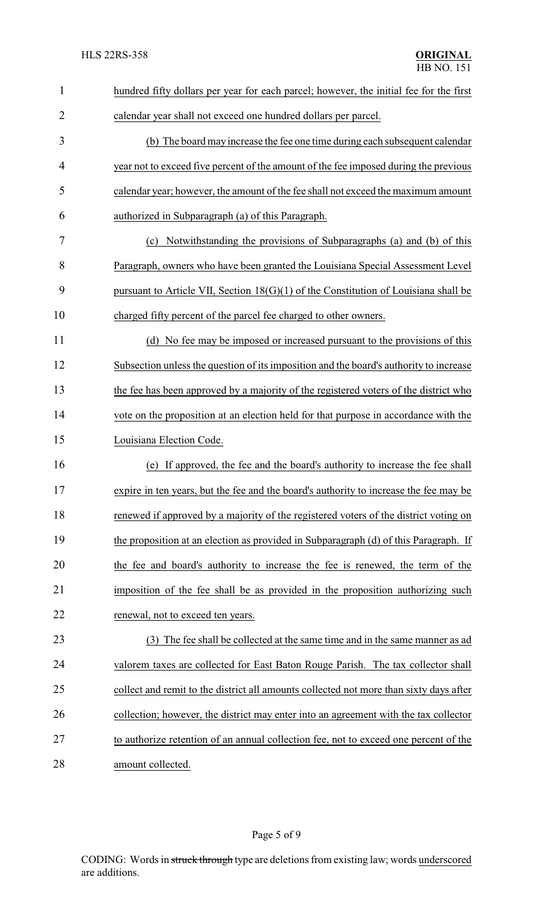| $\mathbf{1}$   | hundred fifty dollars per year for each parcel; however, the initial fee for the first |
|----------------|----------------------------------------------------------------------------------------|
| $\overline{2}$ | calendar year shall not exceed one hundred dollars per parcel.                         |
| 3              | (b) The board may increase the fee one time during each subsequent calendar            |
| 4              | year not to exceed five percent of the amount of the fee imposed during the previous   |
| 5              | calendar year; however, the amount of the fee shall not exceed the maximum amount      |
| 6              | authorized in Subparagraph (a) of this Paragraph.                                      |
| 7              | Notwithstanding the provisions of Subparagraphs (a) and (b) of this<br>(c)             |
| 8              | Paragraph, owners who have been granted the Louisiana Special Assessment Level         |
| 9              | pursuant to Article VII, Section $18(G)(1)$ of the Constitution of Louisiana shall be  |
| 10             | charged fifty percent of the parcel fee charged to other owners.                       |
| 11             | (d) No fee may be imposed or increased pursuant to the provisions of this              |
| 12             | Subsection unless the question of its imposition and the board's authority to increase |
| 13             | the fee has been approved by a majority of the registered voters of the district who   |
| 14             | vote on the proposition at an election held for that purpose in accordance with the    |
| 15             | Louisiana Election Code.                                                               |
| 16             | If approved, the fee and the board's authority to increase the fee shall<br>(e)        |
| 17             | expire in ten years, but the fee and the board's authority to increase the fee may be  |
| 18             | renewed if approved by a majority of the registered voters of the district voting on   |
| 19             | the proposition at an election as provided in Subparagraph (d) of this Paragraph. If   |
| 20             | the fee and board's authority to increase the fee is renewed, the term of the          |
| 21             | imposition of the fee shall be as provided in the proposition authorizing such         |
| 22             | renewal, not to exceed ten years.                                                      |
| 23             | (3) The fee shall be collected at the same time and in the same manner as ad           |
| 24             | valorem taxes are collected for East Baton Rouge Parish. The tax collector shall       |
| 25             | collect and remit to the district all amounts collected not more than sixty days after |
| 26             | collection; however, the district may enter into an agreement with the tax collector   |
| 27             | to authorize retention of an annual collection fee, not to exceed one percent of the   |
| 28             | amount collected.                                                                      |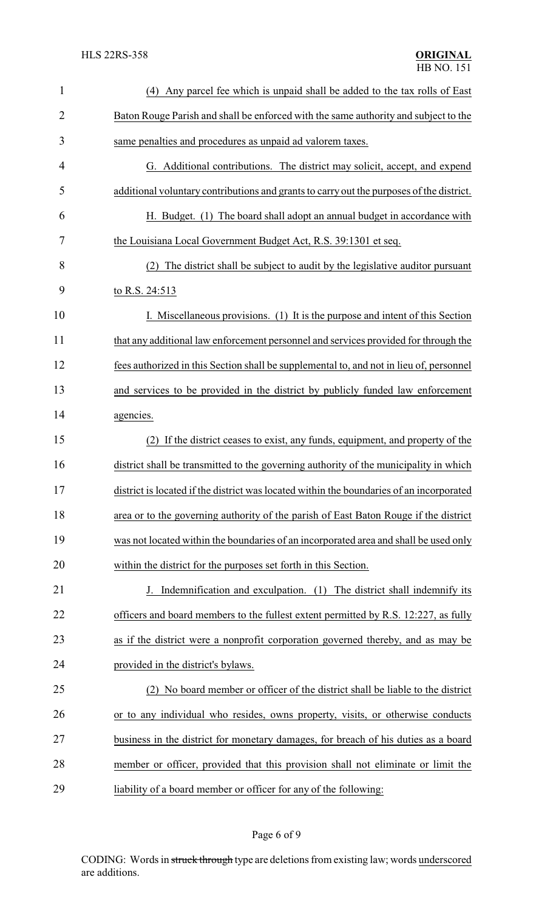| $\mathbf{1}$   | (4) Any parcel fee which is unpaid shall be added to the tax rolls of East               |
|----------------|------------------------------------------------------------------------------------------|
| $\overline{2}$ | Baton Rouge Parish and shall be enforced with the same authority and subject to the      |
| 3              | same penalties and procedures as unpaid ad valorem taxes.                                |
| 4              | G. Additional contributions. The district may solicit, accept, and expend                |
| 5              | additional voluntary contributions and grants to carry out the purposes of the district. |
| 6              | H. Budget. (1) The board shall adopt an annual budget in accordance with                 |
| 7              | the Louisiana Local Government Budget Act, R.S. 39:1301 et seq.                          |
| 8              | The district shall be subject to audit by the legislative auditor pursuant<br>(2)        |
| 9              | to R.S. 24:513                                                                           |
| 10             | I. Miscellaneous provisions. (1) It is the purpose and intent of this Section            |
| 11             | that any additional law enforcement personnel and services provided for through the      |
| 12             | fees authorized in this Section shall be supplemental to, and not in lieu of, personnel  |
| 13             | and services to be provided in the district by publicly funded law enforcement           |
| 14             | agencies.                                                                                |
| 15             | If the district ceases to exist, any funds, equipment, and property of the<br>(2)        |
| 16             | district shall be transmitted to the governing authority of the municipality in which    |
| 17             | district is located if the district was located within the boundaries of an incorporated |
| 18             | area or to the governing authority of the parish of East Baton Rouge if the district     |
| 19             | was not located within the boundaries of an incorporated area and shall be used only     |
| 20             | within the district for the purposes set forth in this Section.                          |
| 21             | J. Indemnification and exculpation. (1) The district shall indemnify its                 |
| 22             | officers and board members to the fullest extent permitted by R.S. 12:227, as fully      |
| 23             | as if the district were a nonprofit corporation governed thereby, and as may be          |
| 24             | provided in the district's bylaws.                                                       |
| 25             | (2) No board member or officer of the district shall be liable to the district           |
| 26             | or to any individual who resides, owns property, visits, or otherwise conducts           |
| 27             | business in the district for monetary damages, for breach of his duties as a board       |
| 28             | member or officer, provided that this provision shall not eliminate or limit the         |
| 29             | liability of a board member or officer for any of the following:                         |

## Page 6 of 9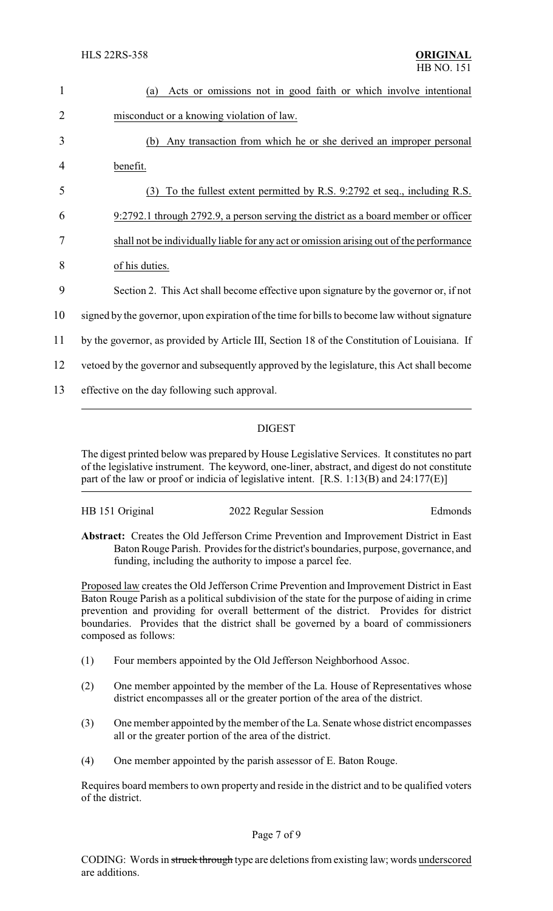| 1              | Acts or omissions not in good faith or which involve intentional<br>(a)                       |
|----------------|-----------------------------------------------------------------------------------------------|
| $\overline{2}$ | misconduct or a knowing violation of law.                                                     |
| 3              | Any transaction from which he or she derived an improper personal<br>(b)                      |
| 4              | benefit.                                                                                      |
| 5              | To the fullest extent permitted by R.S. 9:2792 et seq., including R.S.<br>(3)                 |
| 6              | 9:2792.1 through 2792.9, a person serving the district as a board member or officer           |
| 7              | shall not be individually liable for any act or omission arising out of the performance       |
| 8              | of his duties.                                                                                |
| 9              | Section 2. This Act shall become effective upon signature by the governor or, if not          |
| 10             | signed by the governor, upon expiration of the time for bills to become law without signature |
| 11             | by the governor, as provided by Article III, Section 18 of the Constitution of Louisiana. If  |
| 12             | vertoed by the governor and subsequently approved by the legislature, this Act shall become   |
| 13             | effective on the day following such approval.                                                 |

## DIGEST

The digest printed below was prepared by House Legislative Services. It constitutes no part of the legislative instrument. The keyword, one-liner, abstract, and digest do not constitute part of the law or proof or indicia of legislative intent. [R.S. 1:13(B) and 24:177(E)]

| HB 151 Original | 2022 Regular Session | Edmonds |
|-----------------|----------------------|---------|
|                 |                      |         |

**Abstract:** Creates the Old Jefferson Crime Prevention and Improvement District in East Baton Rouge Parish. Provides for the district's boundaries, purpose, governance, and funding, including the authority to impose a parcel fee.

Proposed law creates the Old Jefferson Crime Prevention and Improvement District in East Baton Rouge Parish as a political subdivision of the state for the purpose of aiding in crime prevention and providing for overall betterment of the district. Provides for district boundaries. Provides that the district shall be governed by a board of commissioners composed as follows:

- (1) Four members appointed by the Old Jefferson Neighborhood Assoc.
- (2) One member appointed by the member of the La. House of Representatives whose district encompasses all or the greater portion of the area of the district.
- (3) One member appointed by the member of the La. Senate whose district encompasses all or the greater portion of the area of the district.
- (4) One member appointed by the parish assessor of E. Baton Rouge.

Requires board members to own property and reside in the district and to be qualified voters of the district.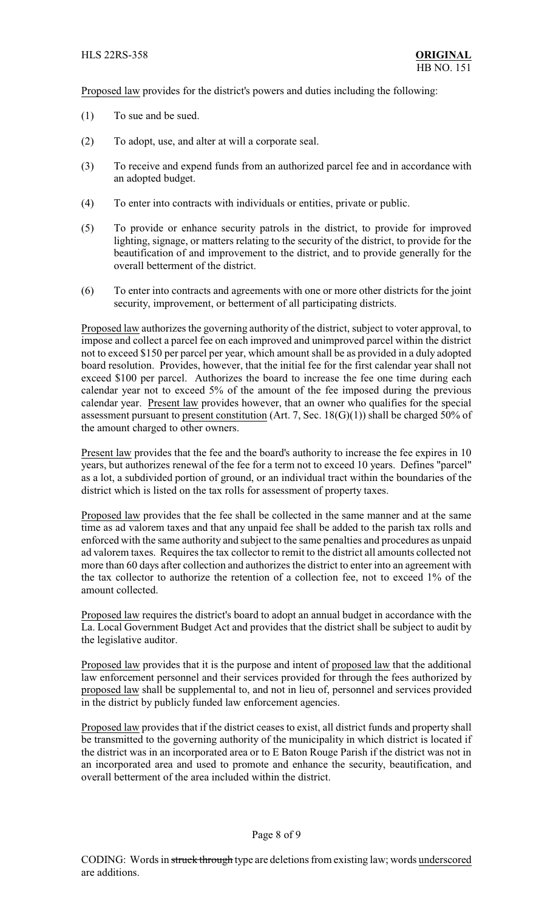Proposed law provides for the district's powers and duties including the following:

- (1) To sue and be sued.
- (2) To adopt, use, and alter at will a corporate seal.
- (3) To receive and expend funds from an authorized parcel fee and in accordance with an adopted budget.
- (4) To enter into contracts with individuals or entities, private or public.
- (5) To provide or enhance security patrols in the district, to provide for improved lighting, signage, or matters relating to the security of the district, to provide for the beautification of and improvement to the district, and to provide generally for the overall betterment of the district.
- (6) To enter into contracts and agreements with one or more other districts for the joint security, improvement, or betterment of all participating districts.

Proposed law authorizes the governing authority of the district, subject to voter approval, to impose and collect a parcel fee on each improved and unimproved parcel within the district not to exceed \$150 per parcel per year, which amount shall be as provided in a duly adopted board resolution. Provides, however, that the initial fee for the first calendar year shall not exceed \$100 per parcel. Authorizes the board to increase the fee one time during each calendar year not to exceed 5% of the amount of the fee imposed during the previous calendar year. Present law provides however, that an owner who qualifies for the special assessment pursuant to present constitution (Art. 7, Sec.  $18(G)(1)$ ) shall be charged 50% of the amount charged to other owners.

Present law provides that the fee and the board's authority to increase the fee expires in 10 years, but authorizes renewal of the fee for a term not to exceed 10 years. Defines "parcel" as a lot, a subdivided portion of ground, or an individual tract within the boundaries of the district which is listed on the tax rolls for assessment of property taxes.

Proposed law provides that the fee shall be collected in the same manner and at the same time as ad valorem taxes and that any unpaid fee shall be added to the parish tax rolls and enforced with the same authority and subject to the same penalties and procedures as unpaid ad valorem taxes. Requires the tax collector to remit to the district all amounts collected not more than 60 days after collection and authorizes the district to enter into an agreement with the tax collector to authorize the retention of a collection fee, not to exceed 1% of the amount collected.

Proposed law requires the district's board to adopt an annual budget in accordance with the La. Local Government Budget Act and provides that the district shall be subject to audit by the legislative auditor.

Proposed law provides that it is the purpose and intent of proposed law that the additional law enforcement personnel and their services provided for through the fees authorized by proposed law shall be supplemental to, and not in lieu of, personnel and services provided in the district by publicly funded law enforcement agencies.

Proposed law provides that if the district ceases to exist, all district funds and property shall be transmitted to the governing authority of the municipality in which district is located if the district was in an incorporated area or to E Baton Rouge Parish if the district was not in an incorporated area and used to promote and enhance the security, beautification, and overall betterment of the area included within the district.